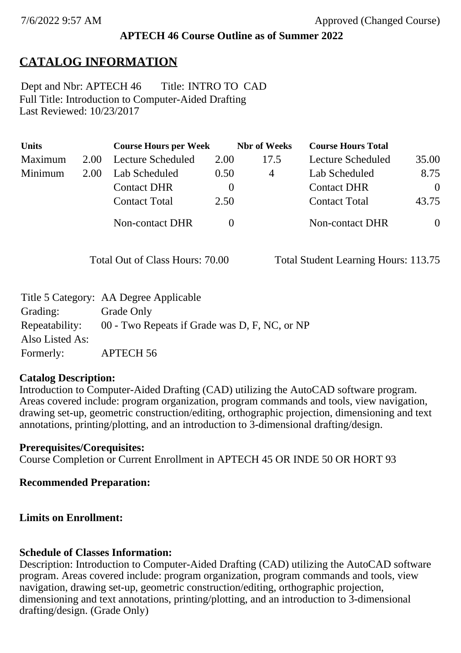# **APTECH 46 Course Outline as of Summer 2022**

# **CATALOG INFORMATION**

Full Title: Introduction to Computer-Aided Drafting Last Reviewed: 10/23/2017 Dept and Nbr: APTECH 46 Title: INTRO TO CAD

| <b>Units</b> |      | <b>Course Hours per Week</b> |          | <b>Nbr</b> of Weeks | <b>Course Hours Total</b> |          |
|--------------|------|------------------------------|----------|---------------------|---------------------------|----------|
| Maximum      | 2.00 | Lecture Scheduled            | 2.00     | 17.5                | Lecture Scheduled         | 35.00    |
| Minimum      | 2.00 | Lab Scheduled                | 0.50     | 4                   | Lab Scheduled             | 8.75     |
|              |      | <b>Contact DHR</b>           | $\theta$ |                     | <b>Contact DHR</b>        | $\Omega$ |
|              |      | <b>Contact Total</b>         | 2.50     |                     | <b>Contact Total</b>      | 43.75    |
|              |      | Non-contact DHR              |          |                     | <b>Non-contact DHR</b>    | $\theta$ |

Total Out of Class Hours: 70.00 Total Student Learning Hours: 113.75

|                 | Title 5 Category: AA Degree Applicable        |
|-----------------|-----------------------------------------------|
| Grading:        | Grade Only                                    |
| Repeatability:  | 00 - Two Repeats if Grade was D, F, NC, or NP |
| Also Listed As: |                                               |
| Formerly:       | APTECH 56                                     |

## **Catalog Description:**

Introduction to Computer-Aided Drafting (CAD) utilizing the AutoCAD software program. Areas covered include: program organization, program commands and tools, view navigation, drawing set-up, geometric construction/editing, orthographic projection, dimensioning and text annotations, printing/plotting, and an introduction to 3-dimensional drafting/design.

## **Prerequisites/Corequisites:**

Course Completion or Current Enrollment in APTECH 45 OR INDE 50 OR HORT 93

## **Recommended Preparation:**

# **Limits on Enrollment:**

# **Schedule of Classes Information:**

Description: Introduction to Computer-Aided Drafting (CAD) utilizing the AutoCAD software program. Areas covered include: program organization, program commands and tools, view navigation, drawing set-up, geometric construction/editing, orthographic projection, dimensioning and text annotations, printing/plotting, and an introduction to 3-dimensional drafting/design. (Grade Only)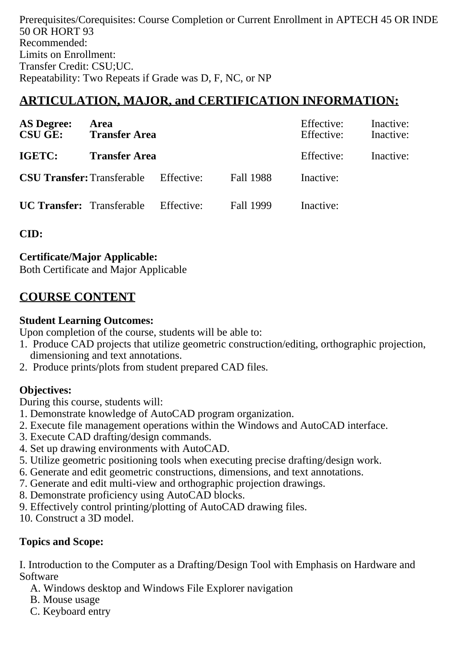Prerequisites/Corequisites: Course Completion or Current Enrollment in APTECH 45 OR INDE 50 OR HORT 93 Recommended: Limits on Enrollment: Transfer Credit: CSU;UC. Repeatability: Two Repeats if Grade was D, F, NC, or NP

# **ARTICULATION, MAJOR, and CERTIFICATION INFORMATION:**

| <b>AS Degree:</b><br><b>CSU GE:</b>          | <b>Area</b><br><b>Transfer Area</b> |            |           | Effective:<br>Effective: | Inactive:<br>Inactive: |
|----------------------------------------------|-------------------------------------|------------|-----------|--------------------------|------------------------|
| IGETC:                                       | <b>Transfer Area</b>                |            |           | Effective:               | Inactive:              |
| <b>CSU Transfer:</b> Transferable Effective: |                                     |            | Fall 1988 | Inactive:                |                        |
| <b>UC Transfer:</b> Transferable             |                                     | Effective: | Fall 1999 | Inactive:                |                        |

**CID:**

**Certificate/Major Applicable:** 

[Both Certificate and Major Applicable](SR_ClassCheck.aspx?CourseKey=APTECH46)

# **COURSE CONTENT**

#### **Student Learning Outcomes:**

Upon completion of the course, students will be able to:

- 1. Produce CAD projects that utilize geometric construction/editing, orthographic projection, dimensioning and text annotations.
- 2. Produce prints/plots from student prepared CAD files.

## **Objectives:**

During this course, students will:

- 1. Demonstrate knowledge of AutoCAD program organization.
- 2. Execute file management operations within the Windows and AutoCAD interface.
- 3. Execute CAD drafting/design commands.
- 4. Set up drawing environments with AutoCAD.
- 5. Utilize geometric positioning tools when executing precise drafting/design work.
- 6. Generate and edit geometric constructions, dimensions, and text annotations.
- 7. Generate and edit multi-view and orthographic projection drawings.
- 8. Demonstrate proficiency using AutoCAD blocks.
- 9. Effectively control printing/plotting of AutoCAD drawing files.
- 10. Construct a 3D model.

#### **Topics and Scope:**

I. Introduction to the Computer as a Drafting/Design Tool with Emphasis on Hardware and Software

- A. Windows desktop and Windows File Explorer navigation
- B. Mouse usage
- C. Keyboard entry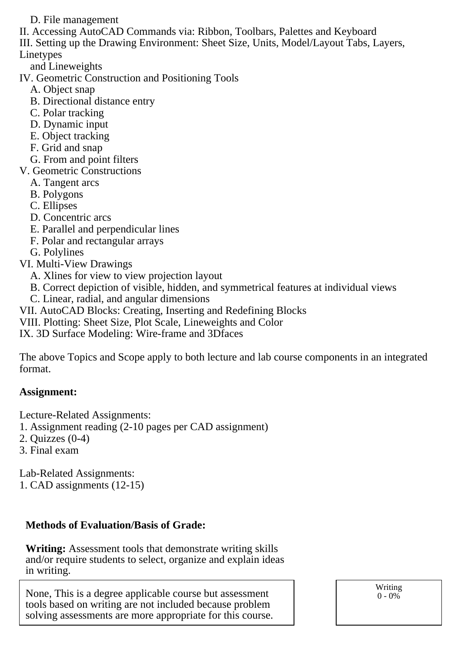D. File management

II. Accessing AutoCAD Commands via: Ribbon, Toolbars, Palettes and Keyboard

III. Setting up the Drawing Environment: Sheet Size, Units, Model/Layout Tabs, Layers, Linetypes

and Lineweights

IV. Geometric Construction and Positioning Tools

- A. Object snap
- B. Directional distance entry
- C. Polar tracking
- D. Dynamic input
- E. Object tracking
- F. Grid and snap
- G. From and point filters
- V. Geometric Constructions
	- A. Tangent arcs
	- B. Polygons
	- C. Ellipses
	- D. Concentric arcs
	- E. Parallel and perpendicular lines
	- F. Polar and rectangular arrays
	- G. Polylines
- VI. Multi-View Drawings
	- A. Xlines for view to view projection layout
	- B. Correct depiction of visible, hidden, and symmetrical features at individual views
	- C. Linear, radial, and angular dimensions
- VII. AutoCAD Blocks: Creating, Inserting and Redefining Blocks
- VIII. Plotting: Sheet Size, Plot Scale, Lineweights and Color
- IX. 3D Surface Modeling: Wire-frame and 3Dfaces

The above Topics and Scope apply to both lecture and lab course components in an integrated format.

#### **Assignment:**

Lecture-Related Assignments:

- 1. Assignment reading (2-10 pages per CAD assignment)
- 2. Quizzes (0-4)
- 3. Final exam

Lab-Related Assignments: 1. CAD assignments (12-15)

#### **Methods of Evaluation/Basis of Grade:**

**Writing:** Assessment tools that demonstrate writing skills and/or require students to select, organize and explain ideas in writing.

None, This is a degree applicable course but assessment tools based on writing are not included because problem solving assessments are more appropriate for this course. Writing  $0 - 0\%$